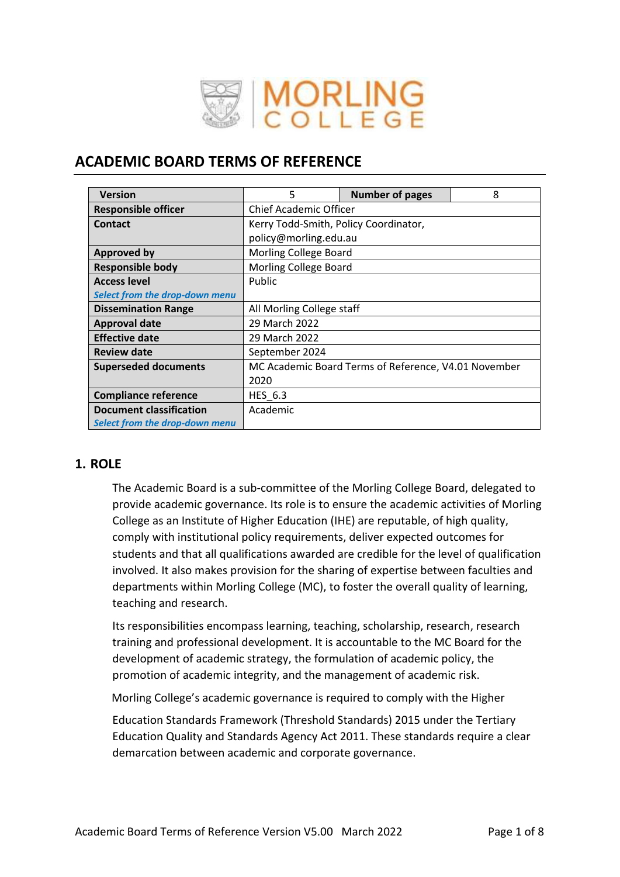

# **ACADEMIC BOARD TERMS OF REFERENCE**

| <b>Version</b>                        | 5                             | <b>Number of pages</b>                               | 8 |  |
|---------------------------------------|-------------------------------|------------------------------------------------------|---|--|
| <b>Responsible officer</b>            | <b>Chief Academic Officer</b> |                                                      |   |  |
| <b>Contact</b>                        |                               | Kerry Todd-Smith, Policy Coordinator,                |   |  |
|                                       | policy@morling.edu.au         |                                                      |   |  |
| <b>Approved by</b>                    | Morling College Board         |                                                      |   |  |
| <b>Responsible body</b>               | Morling College Board         |                                                      |   |  |
| <b>Access level</b>                   | Public                        |                                                      |   |  |
| <b>Select from the drop-down menu</b> |                               |                                                      |   |  |
| <b>Dissemination Range</b>            | All Morling College staff     |                                                      |   |  |
| <b>Approval date</b>                  | 29 March 2022                 |                                                      |   |  |
| <b>Effective date</b>                 | 29 March 2022                 |                                                      |   |  |
| <b>Review date</b>                    | September 2024                |                                                      |   |  |
| <b>Superseded documents</b>           |                               | MC Academic Board Terms of Reference, V4.01 November |   |  |
|                                       | 2020                          |                                                      |   |  |
| <b>Compliance reference</b>           | <b>HES 6.3</b>                |                                                      |   |  |
| <b>Document classification</b>        | Academic                      |                                                      |   |  |
| Select from the drop-down menu        |                               |                                                      |   |  |

# **1. ROLE**

The Academic Board is a sub-committee of the Morling College Board, delegated to provide academic governance. Its role is to ensure the academic activities of Morling College as an Institute of Higher Education (IHE) are reputable, of high quality, comply with institutional policy requirements, deliver expected outcomes for students and that all qualifications awarded are credible for the level of qualification involved. It also makes provision for the sharing of expertise between faculties and departments within Morling College (MC), to foster the overall quality of learning, teaching and research.

Its responsibilities encompass learning, teaching, scholarship, research, research training and professional development. It is accountable to the MC Board for the development of academic strategy, the formulation of academic policy, the promotion of academic integrity, and the management of academic risk.

Morling College's academic governance is required to comply with the Higher

Education Standards Framework (Threshold Standards) 2015 under the Tertiary Education Quality and Standards Agency Act 2011. These standards require a clear demarcation between academic and corporate governance.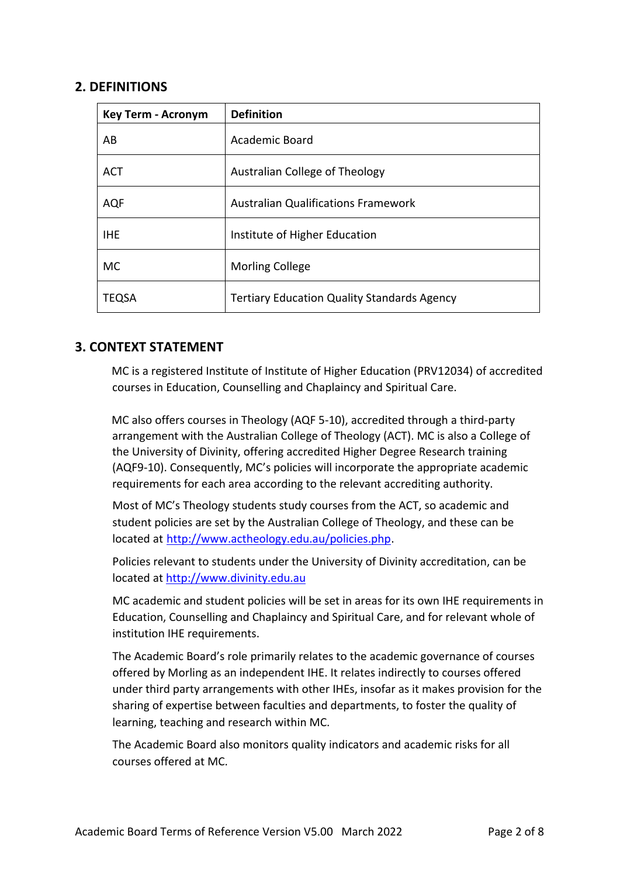### **2. DEFINITIONS**

| <b>Key Term - Acronym</b> | <b>Definition</b>                                  |
|---------------------------|----------------------------------------------------|
| AB                        | Academic Board                                     |
| <b>ACT</b>                | Australian College of Theology                     |
| <b>AQF</b>                | <b>Australian Qualifications Framework</b>         |
| <b>IHE</b>                | Institute of Higher Education                      |
| <b>MC</b>                 | <b>Morling College</b>                             |
| TEQSA                     | <b>Tertiary Education Quality Standards Agency</b> |

## **3. CONTEXT STATEMENT**

MC is a registered Institute of Institute of Higher Education (PRV12034) of accredited courses in Education, Counselling and Chaplaincy and Spiritual Care.

MC also offers courses in Theology (AQF 5-10), accredited through a third-party arrangement with the Australian College of Theology (ACT). MC is also a College of the University of Divinity, offering accredited Higher Degree Research training (AQF9-10). Consequently, MC's policies will incorporate the appropriate academic requirements for each area according to the relevant accrediting authority.

Most of MC's Theology students study courses from the ACT, so academic and student policies are set by the Australian College of Theology, and these can be located a[t](http://www.actheology.edu.au/policies.php) <http://www.actheology.edu.au/policies.php>[.](http://www.actheology.edu.au/policies.php)

Policies relevant to students under the University of Divinity accreditation, can be located at [http://www.divinity.edu.au](http://www.divinity.edu.au/)

MC academic and student policies will be set in areas for its own IHE requirements in Education, Counselling and Chaplaincy and Spiritual Care, and for relevant whole of institution IHE requirements.

The Academic Board's role primarily relates to the academic governance of courses offered by Morling as an independent IHE. It relates indirectly to courses offered under third party arrangements with other IHEs, insofar as it makes provision for the sharing of expertise between faculties and departments, to foster the quality of learning, teaching and research within MC.

The Academic Board also monitors quality indicators and academic risks for all courses offered at MC.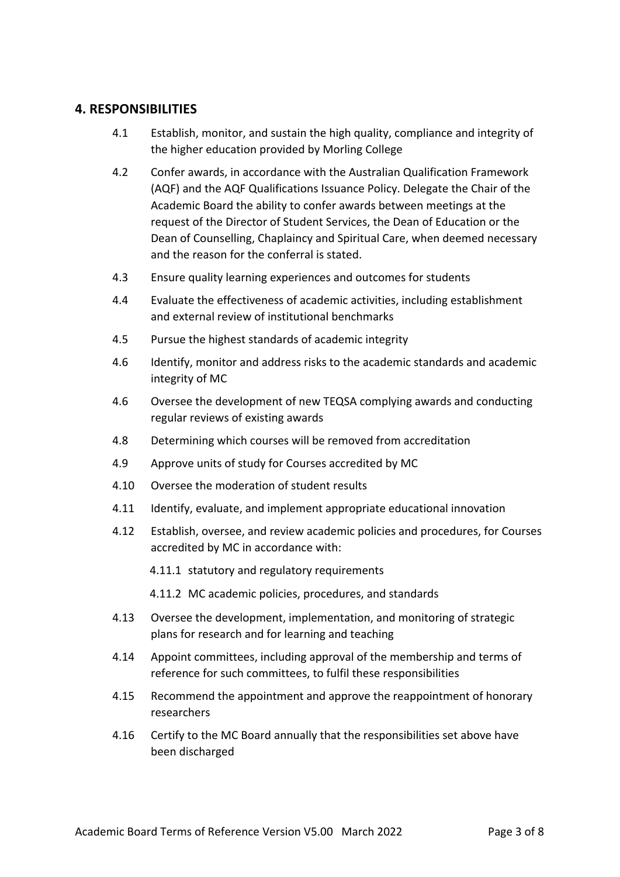# **4. RESPONSIBILITIES**

- 4.1 Establish, monitor, and sustain the high quality, compliance and integrity of the higher education provided by Morling College
- 4.2 Confer awards, in accordance with the Australian Qualification Framework (AQF) and the AQF Qualifications Issuance Policy. Delegate the Chair of the Academic Board the ability to confer awards between meetings at the request of the Director of Student Services, the Dean of Education or the Dean of Counselling, Chaplaincy and Spiritual Care, when deemed necessary and the reason for the conferral is stated.
- 4.3 Ensure quality learning experiences and outcomes for students
- 4.4 Evaluate the effectiveness of academic activities, including establishment and external review of institutional benchmarks
- 4.5 Pursue the highest standards of academic integrity
- 4.6 Identify, monitor and address risks to the academic standards and academic integrity of MC
- 4.6 Oversee the development of new TEQSA complying awards and conducting regular reviews of existing awards
- 4.8 Determining which courses will be removed from accreditation
- 4.9 Approve units of study for Courses accredited by MC
- 4.10 Oversee the moderation of student results
- 4.11 Identify, evaluate, and implement appropriate educational innovation
- 4.12 Establish, oversee, and review academic policies and procedures, for Courses accredited by MC in accordance with:
	- 4.11.1 statutory and regulatory requirements
	- 4.11.2 MC academic policies, procedures, and standards
- 4.13 Oversee the development, implementation, and monitoring of strategic plans for research and for learning and teaching
- 4.14 Appoint committees, including approval of the membership and terms of reference for such committees, to fulfil these responsibilities
- 4.15 Recommend the appointment and approve the reappointment of honorary researchers
- 4.16 Certify to the MC Board annually that the responsibilities set above have been discharged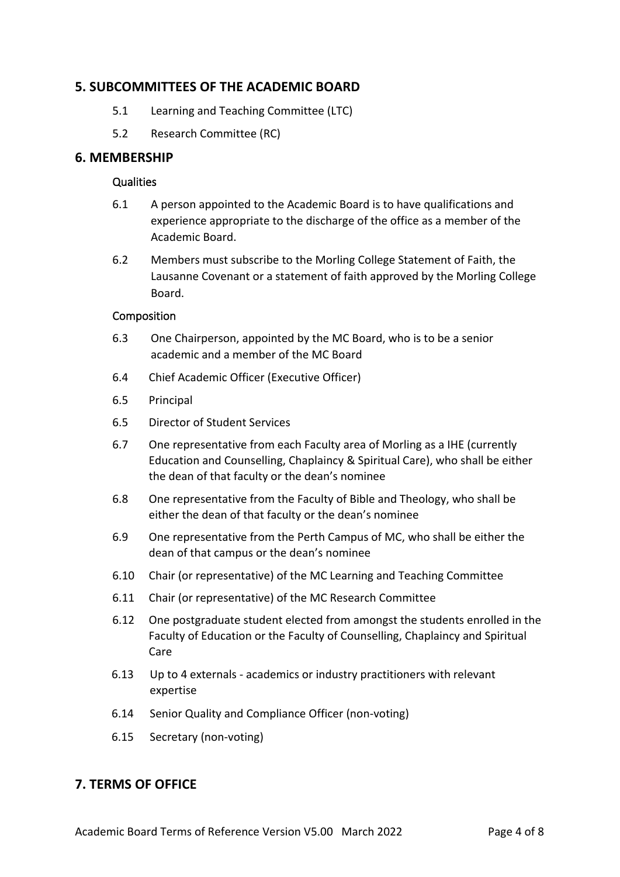## **5. SUBCOMMITTEES OF THE ACADEMIC BOARD**

- 5.1 Learning and Teaching Committee (LTC)
- 5.2 Research Committee (RC)

### **6. MEMBERSHIP**

#### **Qualities**

- 6.1 A person appointed to the Academic Board is to have qualifications and experience appropriate to the discharge of the office as a member of the Academic Board.
- 6.2 Members must subscribe to the Morling College Statement of Faith, the Lausanne Covenant or a statement of faith approved by the Morling College Board.

#### Composition

- 6.3 One Chairperson, appointed by the MC Board, who is to be a senior academic and a member of the MC Board
- 6.4 Chief Academic Officer (Executive Officer)
- 6.5 Principal
- 6.5 Director of Student Services
- 6.7 One representative from each Faculty area of Morling as a IHE (currently Education and Counselling, Chaplaincy & Spiritual Care), who shall be either the dean of that faculty or the dean's nominee
- 6.8 One representative from the Faculty of Bible and Theology, who shall be either the dean of that faculty or the dean's nominee
- 6.9 One representative from the Perth Campus of MC, who shall be either the dean of that campus or the dean's nominee
- 6.10 Chair (or representative) of the MC Learning and Teaching Committee
- 6.11 Chair (or representative) of the MC Research Committee
- 6.12 One postgraduate student elected from amongst the students enrolled in the Faculty of Education or the Faculty of Counselling, Chaplaincy and Spiritual Care
- 6.13 Up to 4 externals academics or industry practitioners with relevant expertise
- 6.14 Senior Quality and Compliance Officer (non-voting)
- 6.15 Secretary (non-voting)

# **7. TERMS OF OFFICE**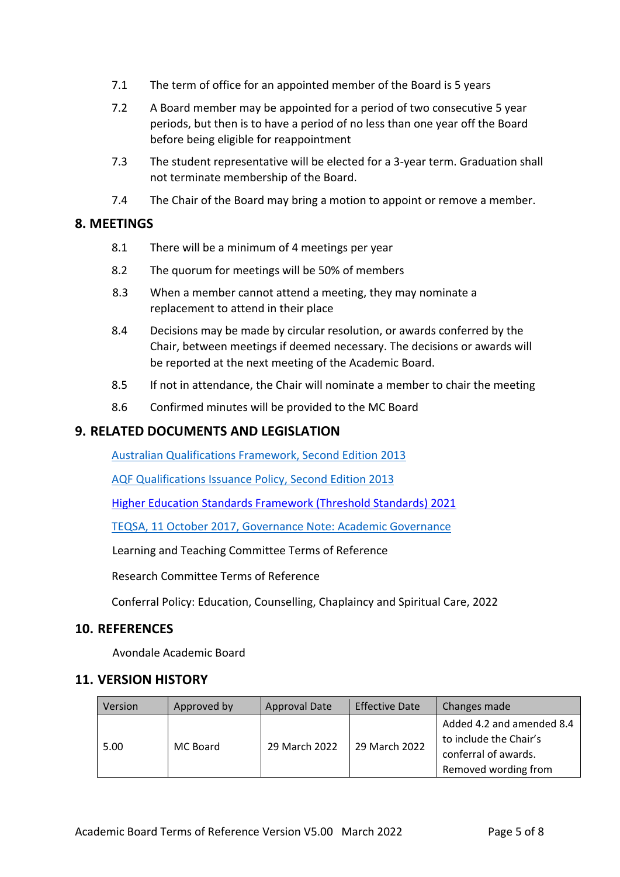- 7.1 The term of office for an appointed member of the Board is 5 years
- 7.2 A Board member may be appointed for a period of two consecutive 5 year periods, but then is to have a period of no less than one year off the Board before being eligible for reappointment
- 7.3 The student representative will be elected for a 3-year term. Graduation shall not terminate membership of the Board.
- 7.4 The Chair of the Board may bring a motion to appoint or remove a member.

# **8. MEETINGS**

- 8.1 There will be a minimum of 4 meetings per year
- 8.2 The quorum for meetings will be 50% of members
- 8.3 When a member cannot attend a meeting, they may nominate a replacement to attend in their place
- 8.4 Decisions may be made by circular resolution, or awards conferred by the Chair, between meetings if deemed necessary. The decisions or awards will be reported at the next meeting of the Academic Board.
- 8.5 If not in attendance, the Chair will nominate a member to chair the meeting
- 8.6 Confirmed minutes will be provided to the MC Board

# **9. RELATED DOCUMENTS AND LEGISLATION**

[Australian Qualifications Framework,](https://www.aqf.edu.au/sites/aqf/files/aqf_issuance_jan2013.pdf) Second Edition 2013

[AQF Qualifications Issuance Policy,](https://www.aqf.edu.au/sites/aqf/files/aqf_issuance_jan2013.pdf) Second Edition 2013

[Higher Education Standards Framework \(Threshold Standards\) 2021](https://www.legislation.gov.au/Details/F2021L00488)

[TEQSA, 11 October 2017, Governance Note: Academic Governance](https://www.teqsa.gov.au/sites/default/files/guidance-note-academic-governance-2-3-web.pdf?v=1581307179)

Learning and Teaching Committee Terms of Reference

Research Committee Terms of Reference

Conferral Policy: Education, Counselling, Chaplaincy and Spiritual Care, 2022

## **10. REFERENCES**

Avondale Academic Board

## **11. VERSION HISTORY**

| Version | Approved by | <b>Approval Date</b> | <b>Effective Date</b> | Changes made                                                                                        |
|---------|-------------|----------------------|-----------------------|-----------------------------------------------------------------------------------------------------|
| 5.00    | MC Board    | 29 March 2022        | 29 March 2022         | Added 4.2 and amended 8.4<br>to include the Chair's<br>conferral of awards.<br>Removed wording from |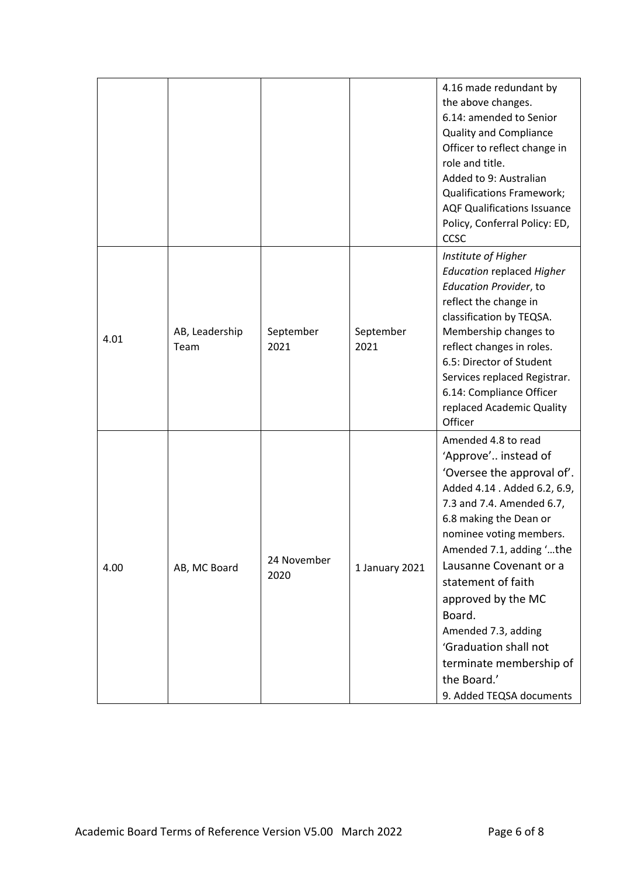|      |                        |                     |                   | 4.16 made redundant by<br>the above changes.<br>6.14: amended to Senior<br><b>Quality and Compliance</b><br>Officer to reflect change in<br>role and title.<br>Added to 9: Australian<br><b>Qualifications Framework;</b><br><b>AQF Qualifications Issuance</b>                                                                                                                                                               |
|------|------------------------|---------------------|-------------------|-------------------------------------------------------------------------------------------------------------------------------------------------------------------------------------------------------------------------------------------------------------------------------------------------------------------------------------------------------------------------------------------------------------------------------|
|      |                        |                     |                   | Policy, Conferral Policy: ED,<br>CCSC                                                                                                                                                                                                                                                                                                                                                                                         |
| 4.01 | AB, Leadership<br>Team | September<br>2021   | September<br>2021 | Institute of Higher<br><b>Education replaced Higher</b><br><b>Education Provider, to</b><br>reflect the change in<br>classification by TEQSA.<br>Membership changes to<br>reflect changes in roles.<br>6.5: Director of Student<br>Services replaced Registrar.<br>6.14: Compliance Officer<br>replaced Academic Quality<br>Officer                                                                                           |
| 4.00 | AB, MC Board           | 24 November<br>2020 | 1 January 2021    | Amended 4.8 to read<br>'Approve' instead of<br>'Oversee the approval of'.<br>Added 4.14 . Added 6.2, 6.9,<br>7.3 and 7.4. Amended 6.7,<br>6.8 making the Dean or<br>nominee voting members.<br>Amended 7.1, adding 'the<br>Lausanne Covenant or a<br>statement of faith<br>approved by the MC<br>Board.<br>Amended 7.3, adding<br>'Graduation shall not<br>terminate membership of<br>the Board.'<br>9. Added TEQSA documents |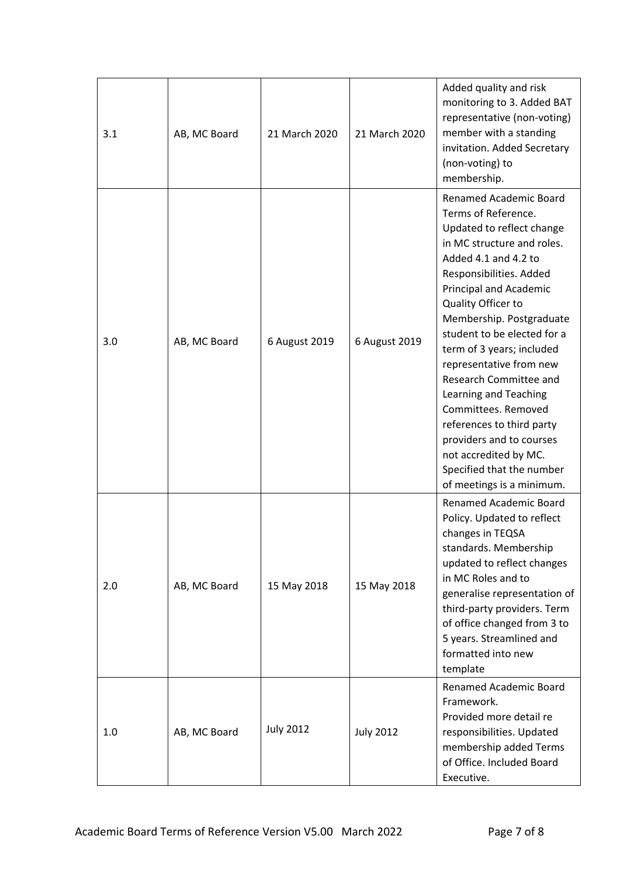| 3.1 | AB, MC Board | 21 March 2020    | 21 March 2020    | Added quality and risk<br>monitoring to 3. Added BAT<br>representative (non-voting)<br>member with a standing<br>invitation. Added Secretary<br>(non-voting) to<br>membership.                                                                                                                                                                                                                                                                                                                                                                              |
|-----|--------------|------------------|------------------|-------------------------------------------------------------------------------------------------------------------------------------------------------------------------------------------------------------------------------------------------------------------------------------------------------------------------------------------------------------------------------------------------------------------------------------------------------------------------------------------------------------------------------------------------------------|
| 3.0 | AB, MC Board | 6 August 2019    | 6 August 2019    | <b>Renamed Academic Board</b><br>Terms of Reference.<br>Updated to reflect change<br>in MC structure and roles.<br>Added 4.1 and 4.2 to<br>Responsibilities. Added<br>Principal and Academic<br>Quality Officer to<br>Membership. Postgraduate<br>student to be elected for a<br>term of 3 years; included<br>representative from new<br>Research Committee and<br>Learning and Teaching<br>Committees. Removed<br>references to third party<br>providers and to courses<br>not accredited by MC.<br>Specified that the number<br>of meetings is a minimum. |
| 2.0 | AB, MC Board | 15 May 2018      | 15 May 2018      | Renamed Academic Board<br>Policy. Updated to reflect<br>changes in TEQSA<br>standards. Membership<br>updated to reflect changes<br>in MC Roles and to<br>generalise representation of<br>third-party providers. Term<br>of office changed from 3 to<br>5 years. Streamlined and<br>formatted into new<br>template                                                                                                                                                                                                                                           |
| 1.0 | AB, MC Board | <b>July 2012</b> | <b>July 2012</b> | <b>Renamed Academic Board</b><br>Framework.<br>Provided more detail re<br>responsibilities. Updated<br>membership added Terms<br>of Office. Included Board<br>Executive.                                                                                                                                                                                                                                                                                                                                                                                    |